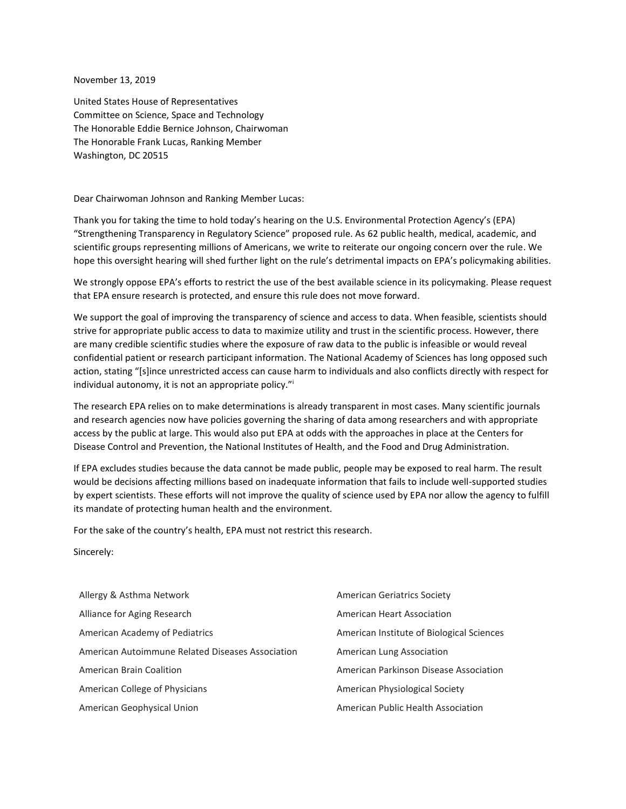November 13, 2019

United States House of Representatives Committee on Science, Space and Technology The Honorable Eddie Bernice Johnson, Chairwoman The Honorable Frank Lucas, Ranking Member Washington, DC 20515

Dear Chairwoman Johnson and Ranking Member Lucas:

Thank you for taking the time to hold today's hearing on the U.S. Environmental Protection Agency's (EPA) "Strengthening Transparency in Regulatory Science" proposed rule. As 62 public health, medical, academic, and scientific groups representing millions of Americans, we write to reiterate our ongoing concern over the rule. We hope this oversight hearing will shed further light on the rule's detrimental impacts on EPA's policymaking abilities.

We strongly oppose EPA's efforts to restrict the use of the best available science in its policymaking. Please request that EPA ensure research is protected, and ensure this rule does not move forward.

We support the goal of improving the transparency of science and access to data. When feasible, scientists should strive for appropriate public access to data to maximize utility and trust in the scientific process. However, there are many credible scientific studies where the exposure of raw data to the public is infeasible or would reveal confidential patient or research participant information. The National Academy of Sciences has long opposed such action, stating "[s]ince unrestricted access can cause harm to individuals and also conflicts directly with respect for individual autonomy, it is not an appropriate policy."<sup>i</sup>

The research EPA relies on to make determinations is already transparent in most cases. Many scientific journals and research agencies now have policies governing the sharing of data among researchers and with appropriate access by the public at large. This would also put EPA at odds with the approaches in place at the Centers for Disease Control and Prevention, the National Institutes of Health, and the Food and Drug Administration.

If EPA excludes studies because the data cannot be made public, people may be exposed to real harm. The result would be decisions affecting millions based on inadequate information that fails to include well-supported studies by expert scientists. These efforts will not improve the quality of science used by EPA nor allow the agency to fulfill its mandate of protecting human health and the environment.

For the sake of the country's health, EPA must not restrict this research.

Sincerely:

| Allergy & Asthma Network                         | <b>American Geriatrics Society</b>        |
|--------------------------------------------------|-------------------------------------------|
| Alliance for Aging Research                      | American Heart Association                |
| American Academy of Pediatrics                   | American Institute of Biological Sciences |
| American Autoimmune Related Diseases Association | American Lung Association                 |
| American Brain Coalition                         | American Parkinson Disease Association    |
| American College of Physicians                   | American Physiological Society            |
| American Geophysical Union                       | American Public Health Association        |